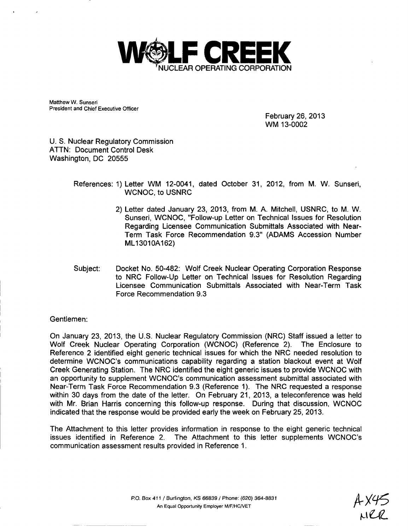

Matthew W. Sunseri President and Chief Executive Officer

> February 26, 2013 WM 13-0002

U. S. Nuclear Regulatory Commission ATTN: Document Control Desk Washington, DC 20555

> References: 1) Letter WM 12-0041, dated October 31, 2012, from M. W. Sunseri, WCNOC, to USNRC

- 2) Letter dated January 23, 2013, from M. A. Mitchell, USNRC, to M. W. Sunseri, WCNOC, "Follow-up Letter on Technical Issues for Resolution Regarding Licensee Communication Submittals Associated with Near-Term Task Force Recommendation 9.3" (ADAMS Accession Number ML13010A162)
- Subject: Docket No. 50-482: Wolf Creek Nuclear Operating Corporation Response to NRC Follow-Up Letter on Technical Issues for Resolution Regarding Licensee Communication Submittals Associated with Near-Term Task Force Recommendation 9.3

Gentlemen:

On January 23, 2013, the U.S. Nuclear Regulatory Commission (NRC) Staff issued a letter to Wolf Creek Nuclear Operating Corporation (WCNOC) (Reference 2). The Enclosure to Reference 2 identified eight generic technical issues for which the NRC needed resolution to determine WCNOC's communications capability regarding a station blackout event at Wolf Creek Generating Station. The NRC identified the eight generic issues to provide WCNOC with an opportunity to supplement WCNOC's communication assessment submittal associated with Near-Term Task Force Recommendation 9.3 (Reference 1). The NRC requested a response within 30 days from the date of the letter. On February 21, 2013, a teleconference was held with Mr. Brian Harris concerning this follow-up response. During that discussion, WCNOC indicated that the response would be provided early the week on February 25, 2013.

The Attachment to this letter provides information in response to the eight generic technical issues identified in Reference 2. The Attachment to this letter supplements WCNOC's communication assessment results provided in Reference 1.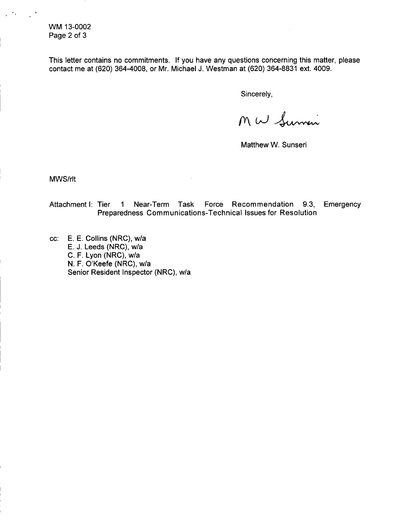WM 13-0002 Page 2 of 3

 $\bullet$  .

This letter contains no commitments. If you have any questions concerning this matter, please contact me at (620) 364-4008, or Mr. Michael J. Westman at (620) 364-8831 ext. 4009.

Sincerely,

Mw Summi

Matthew W. Sunseri

MWS/rlt

Attachment I: Tier **1** Near-Term Task Force Recommendation 9.3, Emergency Preparedness Communications-Technical Issues for Resolution

cc: E. E. Collins (NRC), w/a E. J. Leeds (NRC), w/a C. F. Lyon (NRC), w/a N. F. O'Keefe (NRC), w/a Senior Resident Inspector (NRC), w/a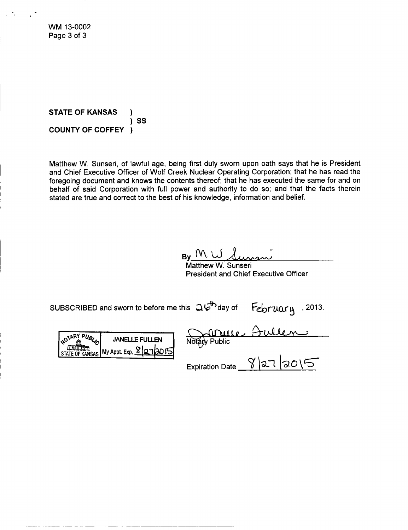WM 13-0002 Page 3 of 3

**STATE** OF **KANSAS** ) SS **COUNTY** OF COFFEY )

Matthew W. Sunseri, of lawful age, being first duly sworn upon oath says that he is President and Chief Executive Officer of Wolf Creek Nuclear Operating Corporation; that he has read the foregoing document and knows the contents thereof; that he has executed the same for and on behalf of said Corporation with full power and authority to do so; and that the facts therein stated are true and correct to the best of his knowledge, information and belief.

 $By$   $M\cup J$ 

Matthew W. Sunseri President and Chief Executive Officer

subscribed and sworn to before me this  $\mathfrak{Q}\overline{\mathfrak{b}}^{\mathfrak{b}}$ day of February , 2013.

 $\overline{\text{G}^{\text{VARY}}\text{PUS}_{\text{L}}|}$  JANELLE FULLEN **My Appt. Exp.**  $\frac{8}{3}$  **2 7** 2015

**Notary Public** 

Expiration Date  $\frac{1}{2}$  |  $\frac{1}{2}$  |  $\frac{1}{2}$  |  $\frac{1}{2}$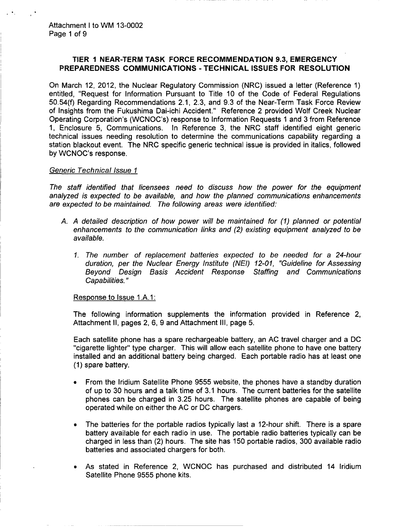# TIER **I** NEAR-TERM TASK FORCE **RECOMMENDATION 9.3,** EMERGENCY PREPAREDNESS **COMMUNICATIONS** - **TECHNICAL ISSUES** FOR **RESOLUTION**

On March 12, 2012, the Nuclear Regulatory Commission (NRC) issued a letter (Reference 1) entitled, "Request for Information Pursuant to Title 10 of the Code of Federal Regulations 50.54(f) Regarding Recommendations 2.1, 2.3, and 9.3 of the Near-Term Task Force Review of Insights from the Fukushima Dai-ichi Accident." Reference 2 provided Wolf Creek Nuclear Operating Corporation's (WCNOC's) response to Information Requests 1 and 3 from Reference 1, Enclosure 5, Communications. In Reference 3, the NRC staff identified eight generic technical issues needing resolution to determine the communications capability regarding a station blackout event. The NRC specific generic technical issue is provided in italics, followed by WCNOC's response.

### *Generic Technical Issue* **I**

*The staff identified that licensees need to discuss how the power for the equipment analyzed is expected to be available, and how the planned communications enhancements are expected to be maintained. The following areas were identified:*

- *A. A detailed description of how power will be maintained for (1) planned or potential enhancements to the communication links and (2) existing equipment analyzed to be available.*
	- *1. The number of replacement batteries expected to be needed for a 24-hour duration, per the Nuclear Energy Institute (NEI) 12-01, "Guideline for Assessing Beyond Design Basis Accident Response Staffing and Communications Capabilities."*

Response to Issue 1.A. 1:

The following information supplements the information provided in Reference 2, Attachment II, pages 2, 6, 9 and Attachment **III,** page 5.

Each satellite phone has a spare rechargeable battery, an AC travel charger and a DC "cigarette lighter" type charger. This will allow each satellite phone to have one battery installed and an additional battery being charged. Each portable radio has at least one (1) spare battery.

- From the Iridium Satellite Phone 9555 website, the phones have a standby duration of up to 30 hours and a talk time of 3.1 hours. The current batteries for the satellite phones can be charged in 3.25 hours. The satellite phones are capable of being operated while on either the AC or DC chargers.
- The batteries for the portable radios typically last a 12-hour shift. There is a spare battery available for each radio in use. The portable radio batteries typically can be charged in less than (2) hours. The site has 150 portable radios, 300 available radio batteries and associated chargers for both.
- As stated in Reference 2, WCNOC has purchased and distributed 14 Iridium Satellite Phone 9555 phone kits.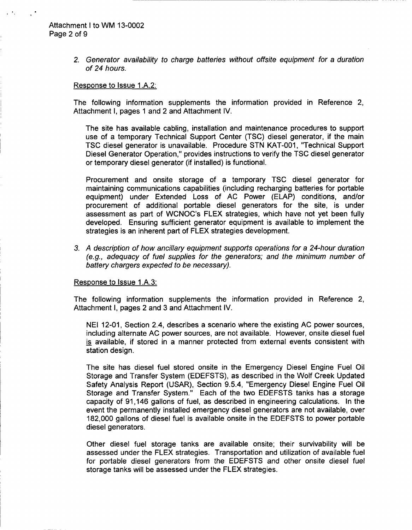*2. Generator availability to charge batteries without offsite equipment for a duration of 24 hours.*

#### Response to Issue 1.A.2:

The following information supplements the information provided in Reference 2, Attachment I, pages 1 and 2 and Attachment IV.

The site has available cabling, installation and maintenance procedures to support use of a temporary Technical Support Center (TSC) diesel generator, if the main TSC diesel generator is unavailable. Procedure STN KAT-001, "Technical Support Diesel Generator Operation," provides instructions to verify the TSC diesel generator or temporary diesel generator (if installed) is functional.

Procurement and onsite storage of a temporary TSC diesel generator for maintaining communications capabilities (including recharging batteries for portable equipment) under Extended Loss of AC Power (ELAP) conditions, and/or procurement of additional portable diesel generators for the site, is under assessment as part of WCNOC's FLEX strategies, which have not yet been fully developed. Ensuring sufficient generator equipment is available to implement the strategies is an inherent part of FLEX strategies development.

*3. A description of how ancillary equipment supports operations for a 24-hour duration (e.g., adequacy of fuel supplies for the generators; and the minimum number of battery chargers expected to be necessary).*

#### Response to Issue 1 .A.3:

The following information supplements the information provided in Reference 2, Attachment I, pages 2 and 3 and Attachment IV.

NEI 12-01, Section 2.4, describes a scenario where the existing AC power sources, including alternate AC power sources, are not available. However, onsite diesel fuel is available, if stored in a manner protected from external events consistent with station design.

The site has diesel fuel stored onsite in the Emergency Diesel Engine Fuel Oil Storage and Transfer System (EDEFSTS), as described in the Wolf Creek Updated Safety Analysis Report (USAR), Section 9.5.4, "Emergency Diesel Engine Fuel Oil Storage and Transfer System." Each of the two EDEFSTS tanks has a storage capacity of 91,146 gallons of fuel, as described in engineering calculations. In the event the permanently installed emergency diesel generators are not available, over 182,000 gallons of diesel fuel is available onsite in the EDEFSTS to power portable diesel generators.

Other diesel fuel storage tanks are available onsite; their survivability will be assessed under the FLEX strategies. Transportation and utilization of available fuel for portable diesel generators from the EDEFSTS and other onsite diesel fuel storage tanks will be assessed under the FLEX strategies.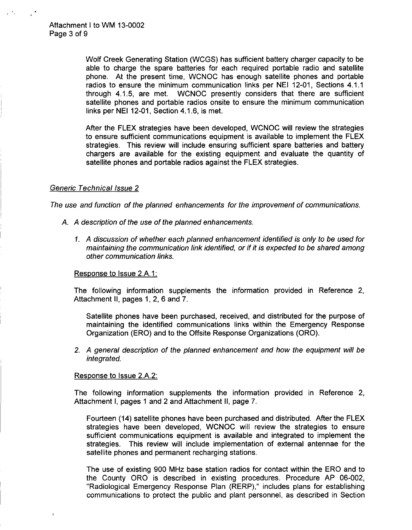Wolf Creek Generating Station (WCGS) has sufficient battery charger capacity to be able to charge the spare batteries for each required portable radio and satellite phone. At the present time, WCNOC has enough satellite phones and portable radios to ensure the minimum communication links per NEI 12-01, Sections 4.1.1 through 4.1.5, are met. WCNOC presently considers that there are sufficient satellite phones and portable radios onsite to ensure the minimum communication links per NEI 12-01, Section 4.1.6, is met.

After the FLEX strategies have been developed, WCNOC will review the strategies to ensure sufficient communications equipment is available to implement the FLEX strategies. This review will include ensuring sufficient spare batteries and battery chargers are available for the existing equipment and evaluate the quantity of satellite phones and portable radios against the FLEX strategies.

### *Generic Technical Issue 2*

*The use and function of the planned enhancements for the improvement of communications.*

- *A. A description of the use of the planned enhancements.*
	- *1. A discussion of whether each planned enhancement identified is only to be used for maintaining the communication link identified, or if it is expected to be shared among other communication links.*

### Response to Issue 2.A. 1:

The following information supplements the information provided in Reference 2, Attachment II, pages 1, 2, 6 and 7.

Satellite phones have been purchased, received, and distributed for the purpose of maintaining the identified communications links within the Emergency Response Organization (ERO) and to the Offsite Response Organizations (ORO).

*2. A general description of the planned enhancement and how the equipment will be integrated.*

### Response to Issue 2.A.2:

The following information supplements the information provided in Reference 2, Attachment I, pages 1 and 2 and Attachment II, page 7.

Fourteen (14) satellite phones have been purchased and distributed. After the FLEX strategies have been developed, WCNOC will review the strategies to ensure sufficient communications equipment is available and integrated to implement the strategies. This review will include implementation of external antennae for the satellite phones and permanent recharging stations.

The use of existing 900 MHz base station radios for contact within the ERO and to the County ORO is described in existing procedures. Procedure AP 06-002, "Radiological Emergency Response Plan (RERP)," includes plans for establishing communications to protect the public and plant personnel, as described in Section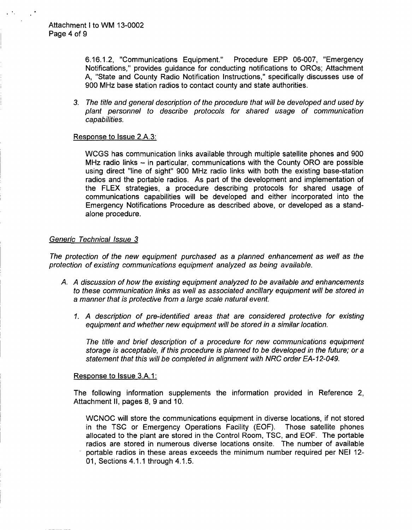6.16.1.2, "Communications Equipment." Procedure EPP 06-007, "Emergency Notifications," provides guidance for conducting notifications to OROs; Attachment **A,** "State and County Radio Notification Instructions," specifically discusses use of 900 MHz base station radios to contact county and state authorities.

*3. The title and general description of the procedure that will be developed and used by plant personnel to describe protocols for shared usage of communication capabilities.*

## Response to Issue 2.A.3:

WCGS has communication links available through multiple satellite phones and 900 MHz radio links  $-$  in particular, communications with the County ORO are possible using direct "line of sight" 900 MHz radio links with both the existing base-station radios and the portable radios. As part of the development and implementation of the FLEX strategies, a procedure describing protocols for shared usage of communications capabilities will be developed and either incorporated into the Emergency Notifications Procedure as described above, or developed as a standalone procedure.

## *Generic Technical Issue 3*

*The protection of the new equipment purchased as a planned enhancement as well as the protection of existing communications equipment analyzed as being available.*

- *A. A discussion of how the existing equipment analyzed to be available and enhancements to these communication links as well as associated ancillary equipment will be stored in a manner that is protective from a large scale natural event.*
	- 1. *A description of pre-identified areas that are considered protective for existing equipment and whether new equipment will be stored in a similar location.*

*The title and brief description of a procedure for new communications equipment storage is acceptable, if this procedure is planned to be developed in the future; or a statement that this will be completed in alignment with NRC order EA-12-049.*

### Response to Issue 3.A.1:

The following information supplements the information provided in Reference 2, Attachment II, pages 8, 9 and 10.

WCNOC will store the communications equipment in diverse locations, if not stored in the TSC or Emergency Operations Facility (EOF). Those satellite phones allocated to the plant are stored in the Control Room, TSC, and EOF. The portable radios are stored in numerous diverse locations onsite. The number of available portable radios in these areas exceeds the minimum number required per **NEI** 12- 01, Sections 4.1.1 through 4.1.5.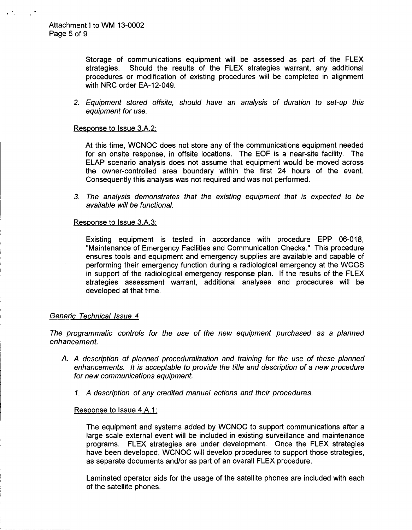Storage of communications equipment will be assessed as part of the FLEX strategies. Should the results of the FLEX strategies warrant, any additional procedures or modification of existing procedures will be completed in alignment with NRC order EA-12-049.

*2. Equipment stored offsite, should have an analysis of duration to set-up this equipment for use.*

### Response to Issue 3.A.2:

At this time, WCNOC does not store any of the communications equipment needed for an onsite response, in offsite locations. The **EOF** is a near-site facility. The ELAP scenario analysis does not assume that equipment would be moved across the owner-controlled area boundary within the first 24 hours of the event. Consequently this analysis was not required and was not performed.

*3. The analysis demonstrates that the existing equipment that is expected to be available will be functional.*

## Response to Issue 3.A.3:

Existing equipment is tested in accordance with procedure EPP 06-018, "Maintenance of Emergency Facilities and Communication Checks." This procedure ensures tools and equipment and emergency supplies are available and capable of performing their emergency function during a radiological emergency at the WCGS in support of the radiological emergency response plan. If the results of the FLEX strategies assessment warrant, additional analyses and procedures will be developed at that time.

## *Generic Technical Issue 4*

*The programmatic controls for the use of the new equipment purchased as a planned enhancement.*

- *A. A description of planned proceduralization and training for the use of these planned enhancements. It is acceptable to provide the title and description of a new procedure for new communications equipment.*
	- *1. A description of any credited manual actions and their procedures.*

### Response to Issue 4.A. 1:

The equipment and systems added by WCNOC to support communications after a large scale external event will be included in existing surveillance and maintenance programs. FLEX strategies are under development. Once the FLEX strategies have been developed, WCNOC will develop procedures to support those strategies, as separate documents and/or as part of an overall FLEX procedure.

Laminated operator aids for the usage of the satellite phones are included with each of the satellite phones.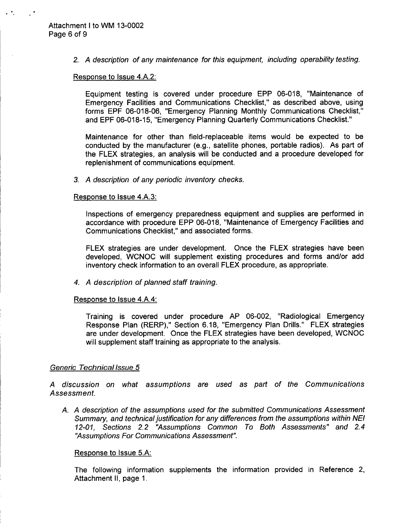$\mathcal{L}$ 

*2. A description of any maintenance for this equipment, including operability testing.*

### Response to Issue 4.A.2:

Equipment testing is covered under procedure EPP 06-018, "Maintenance of Emergency Facilities and Communications Checklist," as described above, using forms EPF 06-018-06, "Emergency Planning Monthly Communications Checklist," and EPF 06-018-15, "Emergency Planning Quarterly Communications Checklist."

Maintenance for other than field-replaceable items would be expected to be conducted by the manufacturer (e.g., satellite phones, portable radios). As part of the FLEX strategies, an analysis will be conducted and a procedure developed for replenishment of communications equipment.

*3. A description of any periodic inventory checks.*

### Response to Issue 4.A.3:

Inspections of emergency preparedness equipment and supplies are performed in accordance with procedure EPP 06-018, "Maintenance of Emergency Facilities and Communications Checklist," and associated forms.

FLEX strategies are under development. Once the FLEX strategies have been developed, WCNOC will supplement existing procedures and forms and/or add inventory check information to an overall FLEX procedure, as appropriate.

## *4. A description of planned staff training.*

### Response to Issue 4.A.4:

Training is covered under procedure AP 06-002, "Radiological Emergency Response Plan (RERP)," Section 6.18, "Emergency Plan Drills." FLEX strategies are under development. Once the FLEX strategies have been developed, WCNOC will supplement staff training as appropriate to the analysis.

## *Generic Technical lssue 5*

*A discussion on what assumptions are used as part of the Communications Assessment.*

*A. A description of the assumptions used for the submitted Communications Assessment Summary, and technical justification for any differences from the assumptions within NEI 12-01, Sections 2.2 "Assumptions Common To Both Assessments" and 2.4 "Assumptions For Communications Assessment".*

## Response to Issue 5.A:

The following information supplements the information provided in Reference 2, Attachment II, page 1.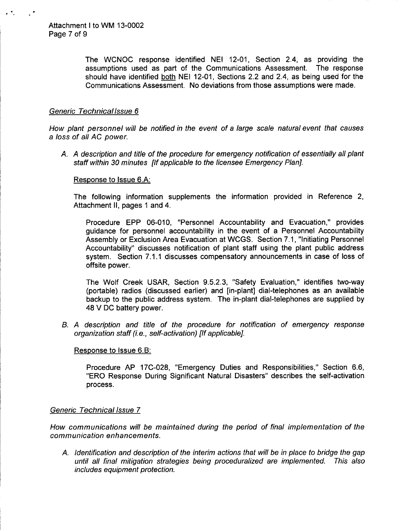The WCNOC response identified NEI 12-01, Section 2.4, as providing the assumptions used as part of the Communications Assessment. The response should have identified both NEI 12-01, Sections 2.2 and 2.4, as being used for the Communications Assessment. No deviations from those assumptions were made.

# *Generic Technical lssue 6*

*How plant personnel will be notified in the event of a large scale natural event that causes a loss of all AC power.*

*A. A description and title of the procedure for emergency notification of essentially all plant staff within 30 minutes [If applicable to the licensee Emergency Plan].*

# Response to Issue 6.A:

The following information supplements the information provided in Reference 2, Attachment II, pages 1 and 4.

Procedure EPP 06-010, "Personnel Accountability and Evacuation," provides guidance for personnel accountability in the event of a Personnel Accountability Assembly or Exclusion Area Evacuation at WCGS. Section 7.1, "Initiating Personnel Accountability" discusses notification of plant staff using the plant public address system. Section 7.1.1 discusses compensatory announcements in case of loss of offsite power.

The Wolf Creek USAR, Section 9.5.2.3, "Safety Evaluation," identifies two-way (portable) radios (discussed earlier) and [in-plant] dial-telephones as an available backup to the public address system. The in-plant dial-telephones are supplied by 48 V DC battery power.

*B. A description and title of the procedure for notification of emergency response organization staff (i.e., self-activation) [If applicable].*

## Response to Issue 6.B:

Procedure AP 17C-028, "Emergency Duties and Responsibilities," Section 6.6, "ERO Response During Significant Natural Disasters" describes the self-activation process.

## *Generic Technical Issue 7*

*How communications will be maintained during the period of final implementation of the communication enhancements.*

*A. Identification and description of the interim actions that will be in place to bridge the gap until all final mitigation strategies being proceduralized are implemented. This also includes equipment protection.*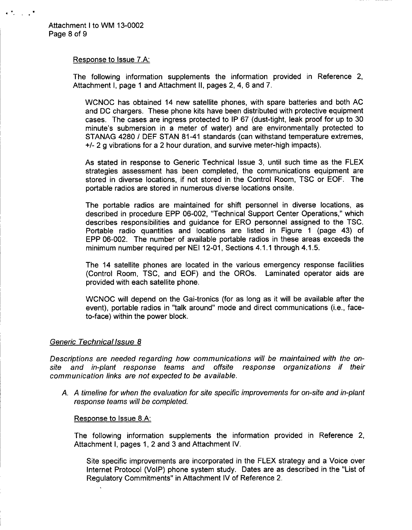$\mathcal{P}_\text{e}$  or  $\mathcal{P}_\text{e}$ 

## Response to Issue 7.A:

The following information supplements the information provided in Reference 2, Attachment I, page 1 and Attachment II, pages 2, 4, 6 and 7.

WCNOC has obtained 14 new satellite phones, with spare batteries and both AC and DC chargers. These phone kits have been distributed with protective equipment cases. The cases are ingress protected to IP 67 (dust-tight, leak proof for up to 30 minute's submersion in a meter of water) and are environmentally protected to STANAG 4280 **/** DEF STAN 81-41 standards (can withstand temperature extremes, **+/-** 2 g vibrations for a 2 hour duration, and survive meter-high impacts).

As stated in response to Generic Technical Issue 3, until such time as the FLEX strategies assessment has been completed, the communications equipment are stored in diverse locations, if not stored in the Control Room, TSC or EOF. The portable radios are stored in numerous diverse locations onsite.

The portable radios are maintained for shift personnel in diverse locations, as described in procedure EPP 06-002, "Technical Support Center Operations," which describes responsibilities and guidance for ERO personnel assigned to the TSC. Portable radio quantities and locations are listed in Figure 1 (page 43) of EPP 06-002. The number of available portable radios in these areas exceeds the minimum number required per NEI 12-01, Sections 4.1.1 through 4.1.5.

The 14 satellite phones are located in the various emergency response facilities (Control Room, TSC, and EOF) and the OROs. Laminated operator aids are provided with each satellite phone.

WCNOC will depend on the Gai-tronics (for as long as it will be available after the event), portable radios in "talk around" mode and direct communications (i.e., faceto-face) within the power block.

## *Generic Technical Issue 8*

*Descriptions are needed regarding how communications will be maintained with the onsite and in-plant response teams and offsite response organizations if their communication links are not expected to be available.*

*A. A timeline for when the evaluation for site specific improvements for on-site and in-plant response teams will be completed.*

## Response to Issue 8.A:

The following information supplements the information provided in Reference 2, Attachment I, pages 1, 2 and 3 and Attachment IV.

Site specific improvements are incorporated in the FLEX strategy and a Voice over Internet Protocol (VoIP) phone system study. Dates are as described in the "List of Regulatory Commitments" in Attachment IV of Reference 2.